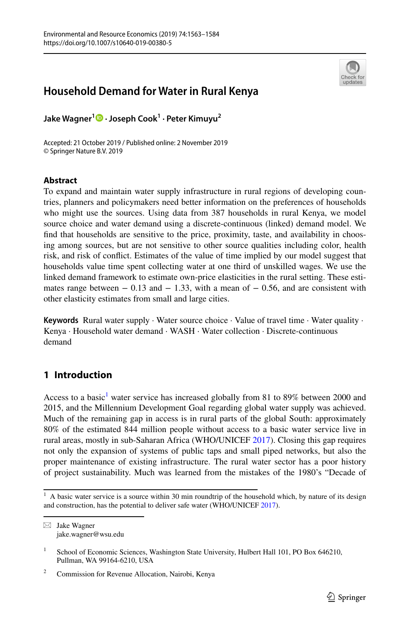

# **Household Demand for Water in Rural Kenya**

**Jake Wagner1  [·](http://orcid.org/0000-0002-1614-4282) Joseph Cook1 · Peter Kimuyu2**

Accepted: 21 October 2019 / Published online: 2 November 2019 © Springer Nature B.V. 2019

### **Abstract**

To expand and maintain water supply infrastructure in rural regions of developing countries, planners and policymakers need better information on the preferences of households who might use the sources. Using data from 387 households in rural Kenya, we model source choice and water demand using a discrete-continuous (linked) demand model. We fnd that households are sensitive to the price, proximity, taste, and availability in choosing among sources, but are not sensitive to other source qualities including color, health risk, and risk of confict. Estimates of the value of time implied by our model suggest that households value time spent collecting water at one third of unskilled wages. We use the linked demand framework to estimate own-price elasticities in the rural setting. These estimates range between  $-0.13$  and  $-1.33$ , with a mean of  $-0.56$ , and are consistent with other elasticity estimates from small and large cities.

**Keywords** Rural water supply · Water source choice · Value of travel time · Water quality · Kenya · Household water demand · WASH · Water collection · Discrete-continuous demand

## **1 Introduction**

Access to a basic<sup>[1](#page-0-0)</sup> water service has increased globally from 81 to 89% between 2000 and 2015, and the Millennium Development Goal regarding global water supply was achieved. Much of the remaining gap in access is in rural parts of the global South: approximately 80% of the estimated 844 million people without access to a basic water service live in rural areas, mostly in sub-Saharan Africa (WHO/UNICEF [2017\)](#page-20-0). Closing this gap requires not only the expansion of systems of public taps and small piped networks, but also the proper maintenance of existing infrastructure. The rural water sector has a poor history of project sustainability. Much was learned from the mistakes of the 1980's "Decade of

<span id="page-0-0"></span> $1$  A basic water service is a source within 30 min roundtrip of the household which, by nature of its design and construction, has the potential to deliver safe water (WHO/UNICEF [2017\)](#page-20-0).

 $\boxtimes$  Jake Wagner jake.wagner@wsu.edu

<sup>&</sup>lt;sup>1</sup> School of Economic Sciences, Washington State University, Hulbert Hall 101, PO Box 646210, Pullman, WA 99164-6210, USA

<sup>2</sup> Commission for Revenue Allocation, Nairobi, Kenya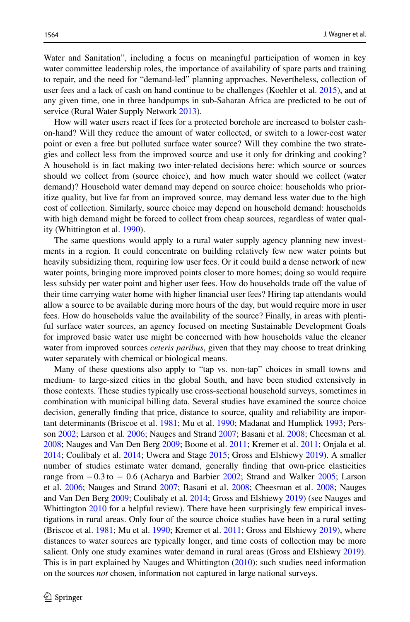Water and Sanitation", including a focus on meaningful participation of women in key water committee leadership roles, the importance of availability of spare parts and training to repair, and the need for "demand-led" planning approaches. Nevertheless, collection of user fees and a lack of cash on hand continue to be challenges (Koehler et al. [2015](#page-19-0)), and at any given time, one in three handpumps in sub-Saharan Africa are predicted to be out of service (Rural Water Supply Network [2013\)](#page-20-1).

How will water users react if fees for a protected borehole are increased to bolster cashon-hand? Will they reduce the amount of water collected, or switch to a lower-cost water point or even a free but polluted surface water source? Will they combine the two strategies and collect less from the improved source and use it only for drinking and cooking? A household is in fact making two inter-related decisions here: which source or sources should we collect from (source choice), and how much water should we collect (water demand)? Household water demand may depend on source choice: households who prioritize quality, but live far from an improved source, may demand less water due to the high cost of collection. Similarly, source choice may depend on household demand: households with high demand might be forced to collect from cheap sources, regardless of water quality (Whittington et al. [1990](#page-20-2)).

The same questions would apply to a rural water supply agency planning new investments in a region. It could concentrate on building relatively few new water points but heavily subsidizing them, requiring low user fees. Or it could build a dense network of new water points, bringing more improved points closer to more homes; doing so would require less subsidy per water point and higher user fees. How do households trade off the value of their time carrying water home with higher fnancial user fees? Hiring tap attendants would allow a source to be available during more hours of the day, but would require more in user fees. How do households value the availability of the source? Finally, in areas with plentiful surface water sources, an agency focused on meeting Sustainable Development Goals for improved basic water use might be concerned with how households value the cleaner water from improved sources *ceteris paribus*, given that they may choose to treat drinking water separately with chemical or biological means.

Many of these questions also apply to "tap vs. non-tap" choices in small towns and medium- to large-sized cities in the global South, and have been studied extensively in those contexts. These studies typically use cross-sectional household surveys, sometimes in combination with municipal billing data. Several studies have examined the source choice decision, generally fnding that price, distance to source, quality and reliability are important determinants (Briscoe et al. [1981](#page-19-1); Mu et al. [1990](#page-20-3); Madanat and Humplick [1993;](#page-20-4) Persson [2002](#page-20-5); Larson et al. [2006](#page-20-6); Nauges and Strand [2007;](#page-20-7) Basani et al. [2008;](#page-19-2) Cheesman et al. [2008;](#page-19-3) Nauges and Van Den Berg [2009;](#page-20-8) Boone et al. [2011](#page-19-4); Kremer et al. [2011](#page-20-9); Onjala et al. [2014;](#page-20-10) Coulibaly et al. [2014](#page-19-5); Uwera and Stage [2015;](#page-20-11) Gross and Elshiewy [2019\)](#page-19-6). A smaller number of studies estimate water demand, generally fnding that own-price elasticities range from −0.3 to − 0.6 (Acharya and Barbier [2002](#page-19-7); Strand and Walker [2005;](#page-20-12) Larson et al. [2006;](#page-20-6) Nauges and Strand [2007](#page-20-7); Basani et al. [2008;](#page-19-2) Cheesman et al. [2008](#page-19-3); Nauges and Van Den Berg [2009](#page-20-8); Coulibaly et al. [2014;](#page-19-5) Gross and Elshiewy [2019](#page-19-6)) (see Nauges and Whittington [2010](#page-20-13) for a helpful review). There have been surprisingly few empirical investigations in rural areas. Only four of the source choice studies have been in a rural setting (Briscoe et al. [1981;](#page-19-1) Mu et al. [1990](#page-20-3); Kremer et al. [2011;](#page-20-9) Gross and Elshiewy [2019](#page-19-6)), where distances to water sources are typically longer, and time costs of collection may be more salient. Only one study examines water demand in rural areas (Gross and Elshiewy [2019](#page-19-6)). This is in part explained by Nauges and Whittington ([2010\)](#page-20-13): such studies need information on the sources *not* chosen, information not captured in large national surveys.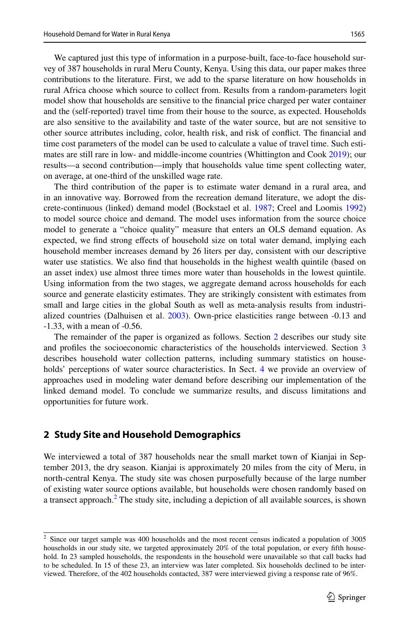We captured just this type of information in a purpose-built, face-to-face household survey of 387 households in rural Meru County, Kenya. Using this data, our paper makes three contributions to the literature. First, we add to the sparse literature on how households in rural Africa choose which source to collect from. Results from a random-parameters logit model show that households are sensitive to the fnancial price charged per water container and the (self-reported) travel time from their house to the source, as expected. Households are also sensitive to the availability and taste of the water source, but are not sensitive to other source attributes including, color, health risk, and risk of confict. The fnancial and time cost parameters of the model can be used to calculate a value of travel time. Such estimates are still rare in low- and middle-income countries (Whittington and Cook [2019\)](#page-20-14); our results—a second contribution—imply that households value time spent collecting water, on average, at one-third of the unskilled wage rate.

The third contribution of the paper is to estimate water demand in a rural area, and in an innovative way. Borrowed from the recreation demand literature, we adopt the discrete-continuous (linked) demand model (Bockstael et al. [1987;](#page-19-8) Creel and Loomis [1992](#page-19-9)) to model source choice and demand. The model uses information from the source choice model to generate a "choice quality" measure that enters an OLS demand equation. As expected, we fnd strong efects of household size on total water demand, implying each household member increases demand by 26 liters per day, consistent with our descriptive water use statistics. We also fnd that households in the highest wealth quintile (based on an asset index) use almost three times more water than households in the lowest quintile. Using information from the two stages, we aggregate demand across households for each source and generate elasticity estimates. They are strikingly consistent with estimates from small and large cities in the global South as well as meta-analysis results from industrialized countries (Dalhuisen et al. [2003\)](#page-19-10). Own-price elasticities range between -0.13 and -1.33, with a mean of -0.56.

The remainder of the paper is organized as follows. Section [2](#page-2-0) describes our study site and profiles the socioeconomic characteristics of the households interviewed. Section [3](#page-4-0) describes household water collection patterns, including summary statistics on house-holds' perceptions of water source characteristics. In Sect. [4](#page-8-0) we provide an overview of approaches used in modeling water demand before describing our implementation of the linked demand model. To conclude we summarize results, and discuss limitations and opportunities for future work.

#### <span id="page-2-0"></span>**2 Study Site and Household Demographics**

We interviewed a total of 387 households near the small market town of Kianjai in September 2013, the dry season. Kianjai is approximately 20 miles from the city of Meru, in north-central Kenya. The study site was chosen purposefully because of the large number of existing water source options available, but households were chosen randomly based on a transect approach.<sup>[2](#page-2-1)</sup> The study site, including a depiction of all available sources, is shown

<span id="page-2-1"></span><sup>&</sup>lt;sup>2</sup> Since our target sample was 400 households and the most recent census indicated a population of 3005 households in our study site, we targeted approximately 20% of the total population, or every ffth household. In 23 sampled households, the respondents in the household were unavailable so that call backs had to be scheduled. In 15 of these 23, an interview was later completed. Six households declined to be interviewed. Therefore, of the 402 households contacted, 387 were interviewed giving a response rate of 96%.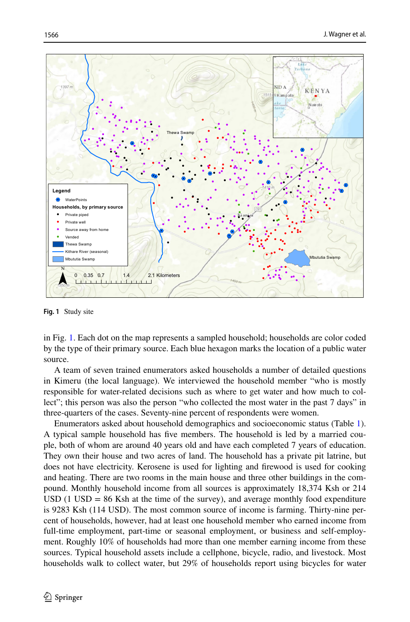

<span id="page-3-0"></span>**Fig. 1** Study site

in Fig. [1.](#page-3-0) Each dot on the map represents a sampled household; households are color coded by the type of their primary source. Each blue hexagon marks the location of a public water source.

A team of seven trained enumerators asked households a number of detailed questions in Kimeru (the local language). We interviewed the household member "who is mostly responsible for water-related decisions such as where to get water and how much to collect"; this person was also the person "who collected the most water in the past 7 days" in three-quarters of the cases. Seventy-nine percent of respondents were women.

Enumerators asked about household demographics and socioeconomic status (Table [1](#page-4-1)). A typical sample household has fve members. The household is led by a married couple, both of whom are around 40 years old and have each completed 7 years of education. They own their house and two acres of land. The household has a private pit latrine, but does not have electricity. Kerosene is used for lighting and frewood is used for cooking and heating. There are two rooms in the main house and three other buildings in the compound. Monthly household income from all sources is approximately 18,374 Ksh or 214 USD (1 USD  $= 86$  Ksh at the time of the survey), and average monthly food expenditure is 9283 Ksh (114 USD). The most common source of income is farming. Thirty-nine percent of households, however, had at least one household member who earned income from full-time employment, part-time or seasonal employment, or business and self-employment. Roughly 10% of households had more than one member earning income from these sources. Typical household assets include a cellphone, bicycle, radio, and livestock. Most households walk to collect water, but 29% of households report using bicycles for water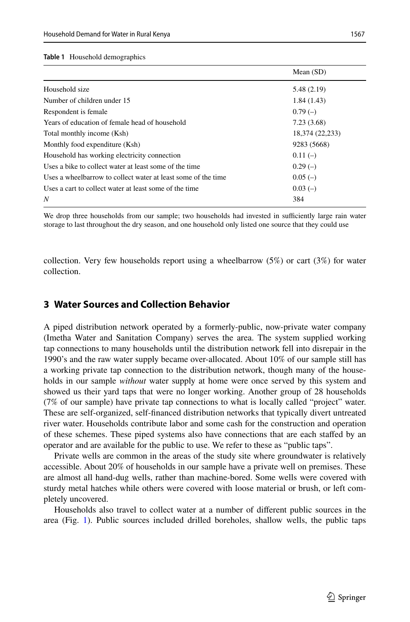#### <span id="page-4-1"></span>**Table 1** Household demographics

|                                                               | Mean $(SD)$     |
|---------------------------------------------------------------|-----------------|
| Household size                                                | 5.48 (2.19)     |
| Number of children under 15                                   | 1.84(1.43)      |
| Respondent is female.                                         | $0.79(-)$       |
| Years of education of female head of household                | 7.23(3.68)      |
| Total monthly income (Ksh)                                    | 18,374 (22,233) |
| Monthly food expenditure (Ksh)                                | 9283 (5668)     |
| Household has working electricity connection                  | $0.11(-)$       |
| Uses a bike to collect water at least some of the time        | $0.29(-)$       |
| Uses a wheelbarrow to collect water at least some of the time | $0.05(-)$       |
| Uses a cart to collect water at least some of the time        | $0.03(-)$       |
| N                                                             | 384             |

We drop three households from our sample; two households had invested in sufficiently large rain water storage to last throughout the dry season, and one household only listed one source that they could use

collection. Very few households report using a wheelbarrow  $(5\%)$  or cart  $(3\%)$  for water collection.

#### <span id="page-4-0"></span>**3 Water Sources and Collection Behavior**

A piped distribution network operated by a formerly-public, now-private water company (Imetha Water and Sanitation Company) serves the area. The system supplied working tap connections to many households until the distribution network fell into disrepair in the 1990's and the raw water supply became over-allocated. About 10% of our sample still has a working private tap connection to the distribution network, though many of the households in our sample *without* water supply at home were once served by this system and showed us their yard taps that were no longer working. Another group of 28 households (7% of our sample) have private tap connections to what is locally called "project" water. These are self-organized, self-fnanced distribution networks that typically divert untreated river water. Households contribute labor and some cash for the construction and operation of these schemes. These piped systems also have connections that are each stafed by an operator and are available for the public to use. We refer to these as "public taps".

Private wells are common in the areas of the study site where groundwater is relatively accessible. About 20% of households in our sample have a private well on premises. These are almost all hand-dug wells, rather than machine-bored. Some wells were covered with sturdy metal hatches while others were covered with loose material or brush, or left completely uncovered.

Households also travel to collect water at a number of diferent public sources in the area (Fig. [1\)](#page-3-0). Public sources included drilled boreholes, shallow wells, the public taps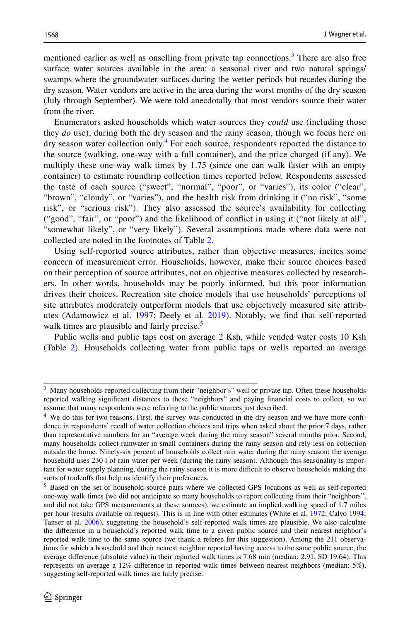mentioned earlier as well as onselling from private tap connections.<sup>3</sup> There are also free surface water sources available in the area: a seasonal river and two natural springs/ swamps where the groundwater surfaces during the wetter periods but recedes during the dry season. Water vendors are active in the area during the worst months of the dry season (July through September). We were told anecdotally that most vendors source their water from the river.

Enumerators asked households which water sources they *could* use (including those they *do* use), during both the dry season and the rainy season, though we focus here on dry season water collection only.<sup>[4](#page-5-1)</sup> For each source, respondents reported the distance to the source (walking, one-way with a full container), and the price charged (if any). We multiply these one-way walk times by 1.75 (since one can walk faster with an empty container) to estimate roundtrip collection times reported below. Respondents assessed the taste of each source ("sweet", "normal", "poor", or "varies"), its color ("clear", "brown", "cloudy", or "varies"), and the health risk from drinking it ("no risk", "some risk", or "serious risk"). They also assessed the source's availability for collecting ("good", "fair", or "poor") and the likelihood of confict in using it ("not likely at all", "somewhat likely", or "very likely"). Several assumptions made where data were not collected are noted in the footnotes of Table [2.](#page-6-0)

Using self-reported source attributes, rather than objective measures, incites some concern of measurement error. Households, however, make their source choices based on their perception of source attributes, not on objective measures collected by researchers. In other words, households may be poorly informed, but this poor information drives their choices. Recreation site choice models that use households' perceptions of site attributes moderately outperform models that use objectively measured site attributes (Adamowicz et al. [1997;](#page-19-11) Deely et al. [2019](#page-19-12)). Notably, we fnd that self-reported walk times are plausible and fairly precise.<sup>[5](#page-5-2)</sup>

Public wells and public taps cost on average 2 Ksh, while vended water costs 10 Ksh (Table [2](#page-6-0)). Households collecting water from public taps or wells reported an average

<span id="page-5-0"></span><sup>&</sup>lt;sup>3</sup> Many households reported collecting from their "neighbor's" well or private tap. Often these households reported walking signifcant distances to these "neighbors" and paying fnancial costs to collect, so we assume that many respondents were referring to the public sources just described.

<span id="page-5-1"></span><sup>&</sup>lt;sup>4</sup> We do this for two reasons. First, the survey was conducted in the dry season and we have more confidence in respondents' recall of water collection choices and trips when asked about the prior 7 days, rather than representative numbers for an "average week during the rainy season" several months prior. Second, many households collect rainwater in small containers during the rainy season and rely less on collection outside the home. Ninety-six percent of households collect rain water during the rainy season; the average household uses 230 l of rain water per week (during the rainy season). Although this seasonality is important for water supply planning, during the rainy season it is more difcult to observe households making the sorts of tradeoffs that help us identify their preferences.

<span id="page-5-2"></span><sup>&</sup>lt;sup>5</sup> Based on the set of household-source pairs where we collected GPS locations as well as self-reported one-way walk times (we did not anticipate so many households to report collecting from their "neighbors", and did not take GPS measurements at these sources), we estimate an implied walking speed of 1.7 miles per hour (results available on request). This is in line with other estimates (White et al. [1972;](#page-20-15) Calvo [1994](#page-19-13); Tanser et al. [2006\)](#page-20-16), suggesting the household's self-reported walk times are plausible. We also calculate the diference in a household's reported walk time to a given public source and their nearest neighbor's reported walk time to the same source (we thank a referee for this suggestion). Among the 211 observations for which a household and their nearest neighbor reported having access to the same public source, the average diference (absolute value) in their reported walk times is 7.68 min (median: 2.91, SD 19.64). This represents on average a 12% diference in reported walk times between nearest neighbors (median: 5%), suggesting self-reported walk times are fairly precise.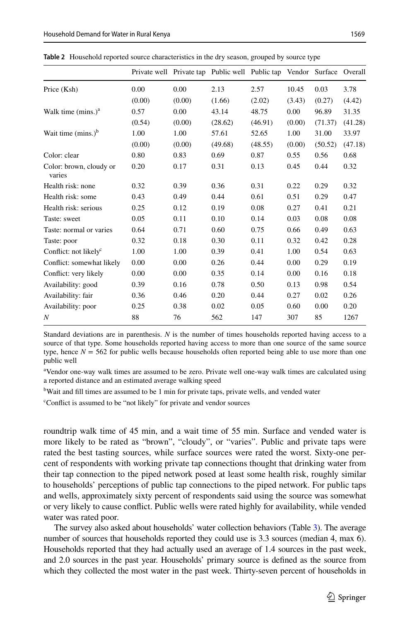|                                   |        |        | Private well Private tap Public well Public tap Vendor Surface Overall |         |        |         |         |
|-----------------------------------|--------|--------|------------------------------------------------------------------------|---------|--------|---------|---------|
| Price (Ksh)                       | 0.00   | 0.00   | 2.13                                                                   | 2.57    | 10.45  | 0.03    | 3.78    |
|                                   | (0.00) | (0.00) | (1.66)                                                                 | (2.02)  | (3.43) | (0.27)  | (4.42)  |
| Walk time $(mins.)a$              | 0.57   | 0.00   | 43.14                                                                  | 48.75   | 0.00   | 96.89   | 31.35   |
|                                   | (0.54) | (0.00) | (28.62)                                                                | (46.91) | (0.00) | (71.37) | (41.28) |
| Wait time $(mins.)^b$             | 1.00   | 1.00   | 57.61                                                                  | 52.65   | 1.00   | 31.00   | 33.97   |
|                                   | (0.00) | (0.00) | (49.68)                                                                | (48.55) | (0.00) | (50.52) | (47.18) |
| Color: clear                      | 0.80   | 0.83   | 0.69                                                                   | 0.87    | 0.55   | 0.56    | 0.68    |
| Color: brown, cloudy or<br>varies | 0.20   | 0.17   | 0.31                                                                   | 0.13    | 0.45   | 0.44    | 0.32    |
| Health risk: none                 | 0.32   | 0.39   | 0.36                                                                   | 0.31    | 0.22   | 0.29    | 0.32    |
| Health risk: some                 | 0.43   | 0.49   | 0.44                                                                   | 0.61    | 0.51   | 0.29    | 0.47    |
| Health risk: serious              | 0.25   | 0.12   | 0.19                                                                   | 0.08    | 0.27   | 0.41    | 0.21    |
| Taste: sweet                      | 0.05   | 0.11   | 0.10                                                                   | 0.14    | 0.03   | 0.08    | 0.08    |
| Taste: normal or varies           | 0.64   | 0.71   | 0.60                                                                   | 0.75    | 0.66   | 0.49    | 0.63    |
| Taste: poor                       | 0.32   | 0.18   | 0.30                                                                   | 0.11    | 0.32   | 0.42    | 0.28    |
| Conflict: not likely <sup>c</sup> | 1.00   | 1.00   | 0.39                                                                   | 0.41    | 1.00   | 0.54    | 0.63    |
| Conflict: somewhat likely         | 0.00   | 0.00   | 0.26                                                                   | 0.44    | 0.00   | 0.29    | 0.19    |
| Conflict: very likely             | 0.00   | 0.00   | 0.35                                                                   | 0.14    | 0.00   | 0.16    | 0.18    |
| Availability: good                | 0.39   | 0.16   | 0.78                                                                   | 0.50    | 0.13   | 0.98    | 0.54    |
| Availability: fair                | 0.36   | 0.46   | 0.20                                                                   | 0.44    | 0.27   | 0.02    | 0.26    |
| Availability: poor                | 0.25   | 0.38   | 0.02                                                                   | 0.05    | 0.60   | 0.00    | 0.20    |
| N                                 | 88     | 76     | 562                                                                    | 147     | 307    | 85      | 1267    |

<span id="page-6-0"></span>**Table 2** Household reported source characteristics in the dry season, grouped by source type

Standard deviations are in parenthesis. *N* is the number of times households reported having access to a source of that type. Some households reported having access to more than one source of the same source type, hence  $N = 562$  for public wells because households often reported being able to use more than one public well

a Vendor one-way walk times are assumed to be zero. Private well one-way walk times are calculated using a reported distance and an estimated average walking speed

<sup>b</sup>Wait and fill times are assumed to be 1 min for private taps, private wells, and vended water

c Confict is assumed to be "not likely" for private and vendor sources

roundtrip walk time of 45 min, and a wait time of 55 min. Surface and vended water is more likely to be rated as "brown", "cloudy", or "varies". Public and private taps were rated the best tasting sources, while surface sources were rated the worst. Sixty-one percent of respondents with working private tap connections thought that drinking water from their tap connection to the piped network posed at least some health risk, roughly similar to households' perceptions of public tap connections to the piped network. For public taps and wells, approximately sixty percent of respondents said using the source was somewhat or very likely to cause confict. Public wells were rated highly for availability, while vended water was rated poor.

The survey also asked about households' water collection behaviors (Table [3](#page-7-0)). The average number of sources that households reported they could use is 3.3 sources (median 4, max 6). Households reported that they had actually used an average of 1.4 sources in the past week, and 2.0 sources in the past year. Households' primary source is defned as the source from which they collected the most water in the past week. Thirty-seven percent of households in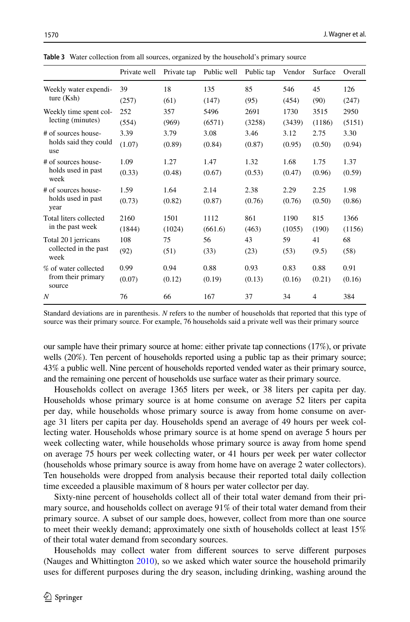|                               | Private well | Private tap | Public well | Public tap | Vendor | Surface | Overall |
|-------------------------------|--------------|-------------|-------------|------------|--------|---------|---------|
| Weekly water expendi-         | 39           | 18          | 135         | 85         | 546    | 45      | 126     |
| ture $(Ksh)$                  | (257)        | (61)        | (147)       | (95)       | (454)  | (90)    | (247)   |
| Weekly time spent col-        | 252          | 357         | 5496        | 2691       | 1730   | 3515    | 2950    |
| lecting (minutes)             | (554)        | (969)       | (6571)      | (3258)     | (3439) | (1186)  | (5151)  |
| # of sources house-           | 3.39         | 3.79        | 3.08        | 3.46       | 3.12   | 2.75    | 3.30    |
| holds said they could<br>use  | (1.07)       | (0.89)      | (0.84)      | (0.87)     | (0.95) | (0.50)  | (0.94)  |
| # of sources house-           | 1.09         | 1.27        | 1.47        | 1.32       | 1.68   | 1.75    | 1.37    |
| holds used in past<br>week    | (0.33)       | (0.48)      | (0.67)      | (0.53)     | (0.47) | (0.96)  | (0.59)  |
| # of sources house-           | 1.59         | 1.64        | 2.14        | 2.38       | 2.29   | 2.25    | 1.98    |
| holds used in past<br>year    | (0.73)       | (0.82)      | (0.87)      | (0.76)     | (0.76) | (0.50)  | (0.86)  |
| Total liters collected        | 2160         | 1501        | 1112        | 861        | 1190   | 815     | 1366    |
| in the past week              | (1844)       | (1024)      | (661.6)     | (463)      | (1055) | (190)   | (1156)  |
| Total 201 jerricans           | 108          | 75          | 56          | 43         | 59     | 41      | 68      |
| collected in the past<br>week | (92)         | (51)        | (33)        | (23)       | (53)   | (9.5)   | (58)    |
| % of water collected          | 0.99         | 0.94        | 0.88        | 0.93       | 0.83   | 0.88    | 0.91    |
| from their primary<br>source  | (0.07)       | (0.12)      | (0.19)      | (0.13)     | (0.16) | (0.21)  | (0.16)  |
| N                             | 76           | 66          | 167         | 37         | 34     | 4       | 384     |

<span id="page-7-0"></span>**Table 3** Water collection from all sources, organized by the household's primary source

Standard deviations are in parenthesis. *N* refers to the number of households that reported that this type of source was their primary source. For example, 76 households said a private well was their primary source

our sample have their primary source at home: either private tap connections (17%), or private wells (20%). Ten percent of households reported using a public tap as their primary source; 43% a public well. Nine percent of households reported vended water as their primary source, and the remaining one percent of households use surface water as their primary source.

Households collect on average 1365 liters per week, or 38 liters per capita per day. Households whose primary source is at home consume on average 52 liters per capita per day, while households whose primary source is away from home consume on average 31 liters per capita per day. Households spend an average of 49 hours per week collecting water. Households whose primary source is at home spend on average 5 hours per week collecting water, while households whose primary source is away from home spend on average 75 hours per week collecting water, or 41 hours per week per water collector (households whose primary source is away from home have on average 2 water collectors). Ten households were dropped from analysis because their reported total daily collection time exceeded a plausible maximum of 8 hours per water collector per day.

Sixty-nine percent of households collect all of their total water demand from their primary source, and households collect on average 91% of their total water demand from their primary source. A subset of our sample does, however, collect from more than one source to meet their weekly demand; approximately one sixth of households collect at least 15% of their total water demand from secondary sources.

Households may collect water from diferent sources to serve diferent purposes (Nauges and Whittington [2010](#page-20-13)), so we asked which water source the household primarily uses for diferent purposes during the dry season, including drinking, washing around the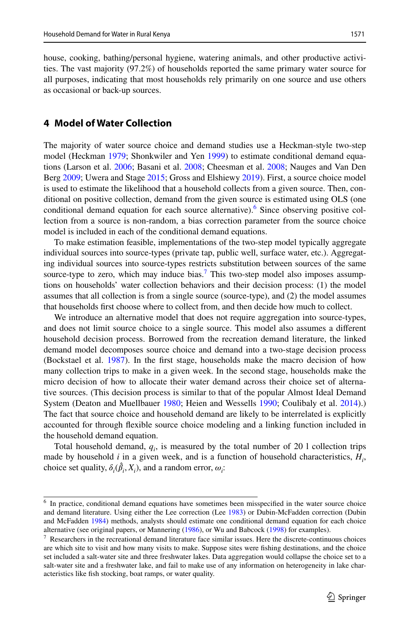house, cooking, bathing/personal hygiene, watering animals, and other productive activities. The vast majority (97.2%) of households reported the same primary water source for all purposes, indicating that most households rely primarily on one source and use others as occasional or back-up sources.

### <span id="page-8-0"></span>**4 Model of Water Collection**

The majority of water source choice and demand studies use a Heckman-style two-step model (Heckman [1979;](#page-19-14) Shonkwiler and Yen [1999](#page-20-17)) to estimate conditional demand equations (Larson et al. [2006](#page-20-6); Basani et al. [2008;](#page-19-2) Cheesman et al. [2008;](#page-19-3) Nauges and Van Den Berg [2009](#page-20-8); Uwera and Stage [2015;](#page-20-11) Gross and Elshiewy [2019\)](#page-19-6). First, a source choice model is used to estimate the likelihood that a household collects from a given source. Then, conditional on positive collection, demand from the given source is estimated using OLS (one conditional demand equation for each source alternative).<sup>[6](#page-8-1)</sup> Since observing positive collection from a source is non-random, a bias correction parameter from the source choice model is included in each of the conditional demand equations.

To make estimation feasible, implementations of the two-step model typically aggregate individual sources into source-types (private tap, public well, surface water, etc.). Aggregating individual sources into source-types restricts substitution between sources of the same source-type to zero, which may induce bias.<sup>[7](#page-8-2)</sup> This two-step model also imposes assumptions on households' water collection behaviors and their decision process: (1) the model assumes that all collection is from a single source (source-type), and (2) the model assumes that households frst choose where to collect from, and then decide how much to collect.

We introduce an alternative model that does not require aggregation into source-types, and does not limit source choice to a single source. This model also assumes a diferent household decision process. Borrowed from the recreation demand literature, the linked demand model decomposes source choice and demand into a two-stage decision process (Bockstael et al. [1987\)](#page-19-8). In the frst stage, households make the macro decision of how many collection trips to make in a given week. In the second stage, households make the micro decision of how to allocate their water demand across their choice set of alternative sources. (This decision process is similar to that of the popular Almost Ideal Demand System (Deaton and Muellbauer [1980;](#page-19-15) Heien and Wessells [1990;](#page-19-16) Coulibaly et al. [2014\)](#page-19-5).) The fact that source choice and household demand are likely to be interrelated is explicitly accounted for through fexible source choice modeling and a linking function included in the household demand equation.

Total household demand,  $q_i$ , is measured by the total number of 20 l collection trips made by household *i* in a given week, and is a function of household characteristics, *Hi* , choice set quality,  $\delta_i(\hat{\beta}_i, X_i)$ , and a random error,  $\omega_i$ :

<span id="page-8-1"></span><sup>&</sup>lt;sup>6</sup> In practice, conditional demand equations have sometimes been misspecified in the water source choice and demand literature. Using either the Lee correction (Lee [1983\)](#page-20-18) or Dubin-McFadden correction (Dubin and McFadden [1984\)](#page-19-17) methods, analysts should estimate one conditional demand equation for each choice alternative (see original papers, or Mannering ([1986\)](#page-20-19), or Wu and Babcock ([1998\)](#page-21-0) for examples).

<span id="page-8-2"></span> $<sup>7</sup>$  Researchers in the recreational demand literature face similar issues. Here the discrete-continuous choices</sup> are which site to visit and how many visits to make. Suppose sites were fshing destinations, and the choice set included a salt-water site and three freshwater lakes. Data aggregation would collapse the choice set to a salt-water site and a freshwater lake, and fail to make use of any information on heterogeneity in lake characteristics like fsh stocking, boat ramps, or water quality.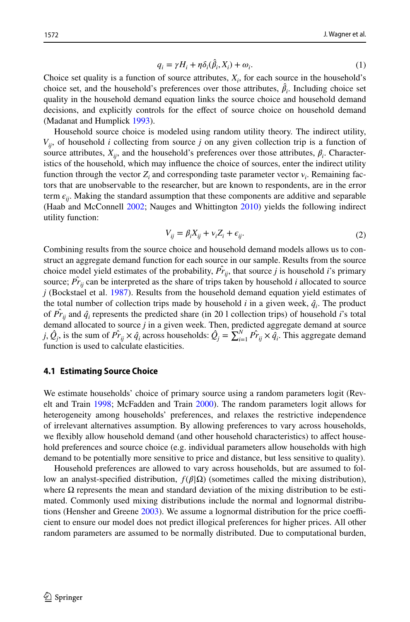<span id="page-9-0"></span>
$$
q_i = \gamma H_i + \eta \delta_i(\hat{\beta}_i, X_i) + \omega_i.
$$
 (1)

Choice set quality is a function of source attributes,  $X_i$ , for each source in the household's choice set, and the household's preferences over those attributes,  $\hat{\beta}_i$ . Including choice set quality in the household demand equation links the source choice and household demand decisions, and explicitly controls for the efect of source choice on household demand (Madanat and Humplick [1993\)](#page-20-4).

Household source choice is modeled using random utility theory. The indirect utility,  $V_{ii}$ , of household *i* collecting from source *j* on any given collection trip is a function of source attributes,  $X_{ij}$ , and the household's preferences over those attributes,  $\beta_i$ . Characteristics of the household, which may infuence the choice of sources, enter the indirect utility function through the vector  $Z_i$  and corresponding taste parameter vector  $v_i$ . Remaining factors that are unobservable to the researcher, but are known to respondents, are in the error term  $\epsilon_{ii}$ . Making the standard assumption that these components are additive and separable (Haab and McConnell [2002;](#page-19-18) Nauges and Whittington [2010\)](#page-20-13) yields the following indirect utility function:

$$
V_{ij} = \beta_i X_{ij} + v_i Z_i + \epsilon_{ij}.
$$
 (2)

Combining results from the source choice and household demand models allows us to construct an aggregate demand function for each source in our sample. Results from the source choice model yield estimates of the probability,  $\hat{Pr}_{ij}$ , that source *j* is household *i*'s primary source;  $\hat{Pr}_{ij}$  can be interpreted as the share of trips taken by household *i* allocated to source *j* (Bockstael et al. [1987](#page-19-8)). Results from the household demand equation yield estimates of the total number of collection trips made by household  $i$  in a given week,  $\hat{q}_i$ . The product of  $\hat{Pr}_{ij}$  and  $\hat{q}_i$  represents the predicted share (in 20 l collection trips) of household *i*'s total demand allocated to source *j* in a given week. Then, predicted aggregate demand at source *j*,  $\hat{Q}_j$ , is the sum of  $\hat{Pr}_{ij} \times \hat{q}_i$  across households:  $\hat{Q}_j = \sum_{i=1}^N \hat{Pr}_{ij} \times \hat{q}_i$ . This aggregate demand function is used to calculate elasticities.

#### **4.1 Estimating Source Choice**

We estimate households' choice of primary source using a random parameters logit (Revelt and Train [1998](#page-20-20); McFadden and Train [2000](#page-20-21)). The random parameters logit allows for heterogeneity among households' preferences, and relaxes the restrictive independence of irrelevant alternatives assumption. By allowing preferences to vary across households, we fexibly allow household demand (and other household characteristics) to afect household preferences and source choice (e.g. individual parameters allow households with high demand to be potentially more sensitive to price and distance, but less sensitive to quality).

Household preferences are allowed to vary across households, but are assumed to follow an analyst-specified distribution,  $f(β|Ω)$  (sometimes called the mixing distribution), where  $\Omega$  represents the mean and standard deviation of the mixing distribution to be estimated. Commonly used mixing distributions include the normal and lognormal distributions (Hensher and Greene  $2003$ ). We assume a lognormal distribution for the price coefficient to ensure our model does not predict illogical preferences for higher prices. All other random parameters are assumed to be normally distributed. Due to computational burden,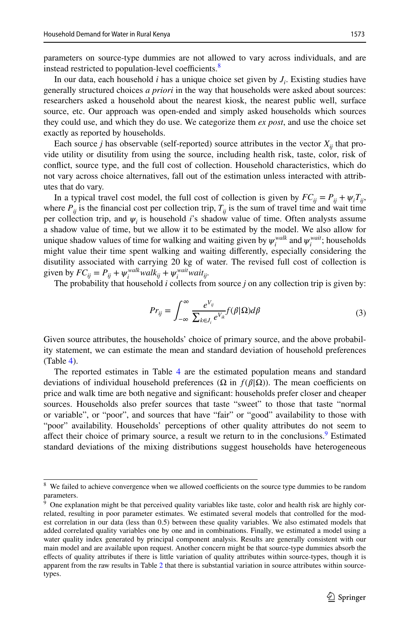parameters on source-type dummies are not allowed to vary across individuals, and are instead restricted to population-level coefficients.<sup>8</sup>

In our data, each household *i* has a unique choice set given by *Ji* . Existing studies have generally structured choices *a priori* in the way that households were asked about sources: researchers asked a household about the nearest kiosk, the nearest public well, surface source, etc. Our approach was open-ended and simply asked households which sources they could use, and which they do use. We categorize them *ex post*, and use the choice set exactly as reported by households.

Each source *j* has observable (self-reported) source attributes in the vector  $X_{ii}$  that provide utility or disutility from using the source, including health risk, taste, color, risk of confict, source type, and the full cost of collection. Household characteristics, which do not vary across choice alternatives, fall out of the estimation unless interacted with attributes that do vary.

In a typical travel cost model, the full cost of collection is given by  $FC_{ij} = P_{ij} + \psi_i T_{ij}$ , where  $P_{ii}$  is the financial cost per collection trip,  $T_{ii}$  is the sum of travel time and wait time per collection trip, and  $\psi_i$  is household *i*'s shadow value of time. Often analysts assume a shadow value of time, but we allow it to be estimated by the model. We also allow for unique shadow values of time for walking and waiting given by  $\psi_i^{walk}$  and  $\psi_i^{wait}$ ; households might value their time spent walking and waiting diferently, especially considering the disutility associated with carrying 20 kg of water. The revised full cost of collection is given by  $FC_{ij} = P_{ij} + \psi_i^{walk} walk_{ij} + \psi_i^{wait} wait_{ij}$ .

The probability that household *i* collects from source *j* on any collection trip is given by:

<span id="page-10-2"></span>
$$
Pr_{ij} = \int_{-\infty}^{\infty} \frac{e^{V_{ij}}}{\sum_{k \in J_i} e^{V_{ik}}} f(\beta | \Omega) d\beta \tag{3}
$$

Given source attributes, the households' choice of primary source, and the above probability statement, we can estimate the mean and standard deviation of household preferences (Table [4](#page-11-0)).

The reported estimates in Table [4](#page-11-0) are the estimated population means and standard deviations of individual household preferences ( $\Omega$  in  $f(\beta|\Omega)$ ). The mean coefficients on price and walk time are both negative and signifcant: households prefer closer and cheaper sources. Households also prefer sources that taste "sweet" to those that taste "normal or variable", or "poor", and sources that have "fair" or "good" availability to those with "poor" availability. Households' perceptions of other quality attributes do not seem to affect their choice of primary source, a result we return to in the conclusions.<sup>9</sup> Estimated standard deviations of the mixing distributions suggest households have heterogeneous

<span id="page-10-0"></span> $8\,$  We failed to achieve convergence when we allowed coefficients on the source type dummies to be random parameters.

<span id="page-10-1"></span><sup>&</sup>lt;sup>9</sup> One explanation might be that perceived quality variables like taste, color and health risk are highly correlated, resulting in poor parameter estimates. We estimated several models that controlled for the modest correlation in our data (less than 0.5) between these quality variables. We also estimated models that added correlated quality variables one by one and in combinations. Finally, we estimated a model using a water quality index generated by principal component analysis. Results are generally consistent with our main model and are available upon request. Another concern might be that source-type dummies absorb the efects of quality attributes if there is little variation of quality attributes within source-types, though it is apparent from the raw results in Table [2](#page-6-0) that there is substantial variation in source attributes within sourcetypes.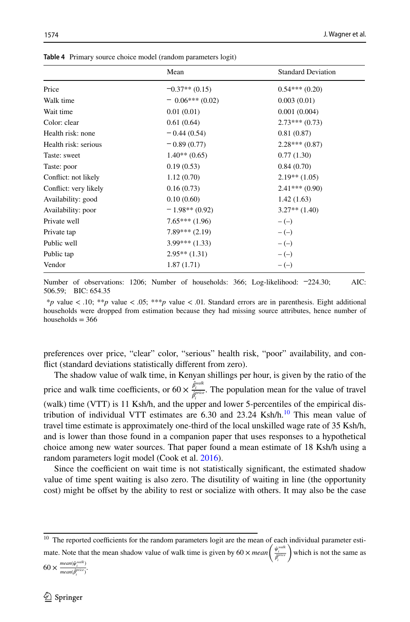|                       | Mean              | <b>Standard Deviation</b> |
|-----------------------|-------------------|---------------------------|
| Price                 | $-0.37**$ (0.15)  | $0.54***(0.20)$           |
| Walk time             | $= 0.06***(0.02)$ | 0.003(0.01)               |
| Wait time             | 0.01(0.01)        | 0.001(0.004)              |
| Color: clear          | 0.61(0.64)        | $2.73***(0.73)$           |
| Health risk: none     | $= 0.44(0.54)$    | 0.81(0.87)                |
| Health risk: serious  | $= 0.89(0.77)$    | $2.28***(0.87)$           |
| Taste: sweet          | $1.40**$ (0.65)   | 0.77(1.30)                |
| Taste: poor           | 0.19(0.53)        | 0.84(0.70)                |
| Conflict: not likely  | 1.12(0.70)        | $2.19**$ (1.05)           |
| Conflict: very likely | 0.16(0.73)        | $2.41***(0.90)$           |
| Availability: good    | 0.10(0.60)        | 1.42(1.63)                |
| Availability: poor    | $-1.98**$ (0.92)  | $3.27**$ $(1.40)$         |
| Private well          | $7.65***(1.96)$   | $-(-)$                    |
| Private tap           | $7.89***(2.19)$   | $-(-)$                    |
| Public well           | $3.99***(1.33)$   | $-(-)$                    |
| Public tap            | $2.95**$ (1.31)   | $-(-)$                    |
| Vendor                | 1.87(1.71)        | $-(-)$                    |

<span id="page-11-0"></span>**Table 4** Primary source choice model (random parameters logit)

Number of observations: 1206; Number of households: 366; Log-likelihood: −224.30; AIC: 506.59; BIC: 654.35

 \**p* value *<* .10; \*\**p* value *<* .05; \*\*\**p* value *<* .01. Standard errors are in parenthesis. Eight additional households were dropped from estimation because they had missing source attributes, hence number of households  $=$  366

preferences over price, "clear" color, "serious" health risk, "poor" availability, and confict (standard deviations statistically diferent from zero).

The shadow value of walk time, in Kenyan shillings per hour, is given by the ratio of the price and walk time coefficients, or  $60 \times \frac{\hat{\beta}_i^{walk}}{\hat{\beta}_i^{price}}$ . The population mean for the value of travel (walk) time (VTT) is 11 Ksh/h, and the upper and lower 5-percentiles of the empirical distribution of individual VTT estimates are  $6.30$  and  $23.24$  Ksh/h.<sup>10</sup> This mean value of travel time estimate is approximately one-third of the local unskilled wage rate of 35 Ksh/h, and is lower than those found in a companion paper that uses responses to a hypothetical choice among new water sources. That paper found a mean estimate of 18 Ksh/h using a random parameters logit model (Cook et al. [2016\)](#page-19-20).

Since the coefficient on wait time is not statistically significant, the estimated shadow value of time spent waiting is also zero. The disutility of waiting in line (the opportunity cost) might be offset by the ability to rest or socialize with others. It may also be the case

mate. Note that the mean shadow value of walk time is given by 60  $\times$  *mean*  $\left(\begin{array}{c} \hat{\psi}_i^{valid} \\ \hat{\phi}_i^{prior} \end{array}\right)$ ) which is not the same as *<sup>i</sup>* )

$$
60 \times \frac{mean(\hat{\psi}_i^{walk})}{mean(\hat{\rho}_i^{price})}.
$$

<span id="page-11-1"></span> $10$  The reported coefficients for the random parameters logit are the mean of each individual parameter esti-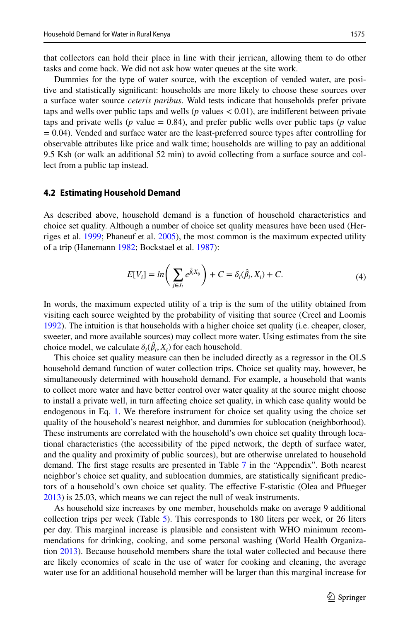that collectors can hold their place in line with their jerrican, allowing them to do other tasks and come back. We did not ask how water queues at the site work.

Dummies for the type of water source, with the exception of vended water, are positive and statistically signifcant: households are more likely to choose these sources over a surface water source *ceteris paribus*. Wald tests indicate that households prefer private taps and wells over public taps and wells (*p* values < 0.01), are indiferent between private taps and private wells ( $p$  value = 0.84), and prefer public wells over public taps ( $p$  value  $= 0.04$ ). Vended and surface water are the least-preferred source types after controlling for observable attributes like price and walk time; households are willing to pay an additional 9.5 Ksh (or walk an additional 52 min) to avoid collecting from a surface source and collect from a public tap instead.

#### **4.2 Estimating Household Demand**

As described above, household demand is a function of household characteristics and choice set quality. Although a number of choice set quality measures have been used (Herriges et al. [1999;](#page-19-21) Phaneuf et al. [2005\)](#page-20-22), the most common is the maximum expected utility of a trip (Hanemann [1982](#page-19-22); Bockstael et al. [1987\)](#page-19-8):

<span id="page-12-0"></span>
$$
E[V_i] = \ln\bigg(\sum_{j \in J_i} e^{\hat{\beta}_i X_{ij}}\bigg) + C = \delta_i(\hat{\beta}_i, X_i) + C. \tag{4}
$$

In words, the maximum expected utility of a trip is the sum of the utility obtained from visiting each source weighted by the probability of visiting that source (Creel and Loomis [1992\)](#page-19-9). The intuition is that households with a higher choice set quality (i.e. cheaper, closer, sweeter, and more available sources) may collect more water. Using estimates from the site choice model, we calculate  $\delta_i(\hat{\beta}_i, X_i)$  for each household.

This choice set quality measure can then be included directly as a regressor in the OLS household demand function of water collection trips. Choice set quality may, however, be simultaneously determined with household demand. For example, a household that wants to collect more water and have better control over water quality at the source might choose to install a private well, in turn afecting choice set quality, in which case quality would be endogenous in Eq. [1.](#page-9-0) We therefore instrument for choice set quality using the choice set quality of the household's nearest neighbor, and dummies for sublocation (neighborhood). These instruments are correlated with the household's own choice set quality through locational characteristics (the accessibility of the piped network, the depth of surface water, and the quality and proximity of public sources), but are otherwise unrelated to household demand. The frst stage results are presented in Table [7](#page-16-0) in the "Appendix". Both nearest neighbor's choice set quality, and sublocation dummies, are statistically signifcant predictors of a household's own choice set quality. The efective F-statistic (Olea and Pfueger [2013\)](#page-20-23) is 25.03, which means we can reject the null of weak instruments.

As household size increases by one member, households make on average 9 additional collection trips per week (Table [5](#page-13-0)). This corresponds to 180 liters per week, or 26 liters per day. This marginal increase is plausible and consistent with WHO minimum recommendations for drinking, cooking, and some personal washing (World Health Organiza-tion [2013](#page-20-24)). Because household members share the total water collected and because there are likely economies of scale in the use of water for cooking and cleaning, the average water use for an additional household member will be larger than this marginal increase for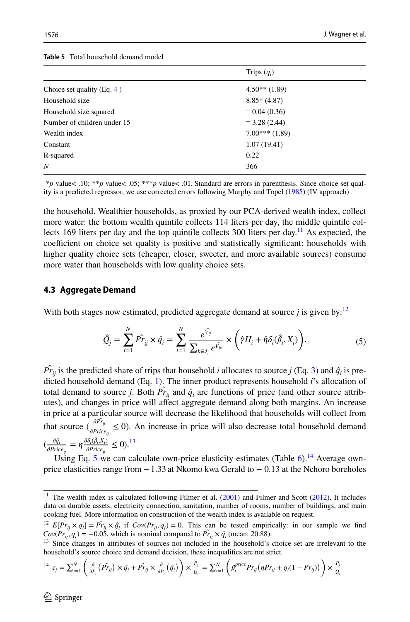<span id="page-13-0"></span>

| <b>Table 5</b> Total household demand model |  |  |  |
|---------------------------------------------|--|--|--|
|---------------------------------------------|--|--|--|

|                               | Trips $(q_i)$   |  |
|-------------------------------|-----------------|--|
| Choice set quality (Eq. $4$ ) | $4.50**$ (1.89) |  |
| Household size                | $8.85*(4.87)$   |  |
| Household size squared        | $-0.04(0.36)$   |  |
| Number of children under 15   | $-3.28(2.44)$   |  |
| Wealth index                  | $7.00***(1.89)$ |  |
| Constant                      | 1.07(19.41)     |  |
| R-squared                     | 0.22            |  |
| N                             | 366             |  |

 \**p* value*<* .10; \*\**p* value*<* .05; \*\*\**p* value*<* .01. Standard are errors in parenthesis. Since choice set quality is a predicted regressor, we use corrected errors following Murphy and Topel ([1985\)](#page-20-25) (IV approach)

the household. Wealthier households, as proxied by our PCA-derived wealth index, collect more water: the bottom wealth quintile collects 114 liters per day, the middle quintile col-lects 169 liters per day and the top quintile collects 300 liters per day.<sup>[11](#page-13-1)</sup> As expected, the coefficient on choice set quality is positive and statistically significant: households with higher quality choice sets (cheaper, closer, sweeter, and more available sources) consume more water than households with low quality choice sets.

#### **4.3 Aggregate Demand**

With both stages now estimated, predicted aggregate demand at source *j* is given by:<sup>12</sup>

<span id="page-13-4"></span>
$$
\hat{Q}_j = \sum_{i=1}^N \hat{Pr}_{ij} \times \hat{q}_i = \sum_{i=1}^N \frac{e^{\hat{V}_{ij}}}{\sum_{k \in J_i} e^{\hat{V}_{ik}}} \times \left(\hat{\gamma} H_i + \hat{\eta} \delta_i(\hat{\beta}_i, X_i)\right).
$$
(5)

 $\hat{Pr}_{ij}$  is the predicted share of trips that household *i* allocates to source *j* (Eq. [3](#page-10-2)) and  $\hat{q}_i$  is predicted household demand (Eq. [1\)](#page-9-0). The inner product represents household *i*'s allocation of total demand to source *j*. Both  $\hat{Pr}_{ij}$  and  $\hat{q}_i$  are functions of price (and other source attributes), and changes in price will affect aggregate demand along both margins. An increase in price at a particular source will decrease the likelihood that households will collect from that source  $\left(\frac{\partial P_{ij}}{\partial Price_{ij}} \le 0\right)$ . An increase in price will also decrease total household demand  $\left(\frac{\partial \hat{q}_i}{\partial Price_{ij}} = \eta \frac{\partial \delta_i(\hat{\beta}_i, X_i)}{\partial Price_{ij}}\right)$  $\frac{\partial \rho_i(\beta_i, X_i)}{\partial Price_{ij}} \leq 0$ .<sup>[13](#page-13-3)</sup>

Using Eq. [5](#page-13-4) we can calculate own-price elasticity estimates (Table [6\)](#page-14-0).<sup>14</sup> Average ownprice elasticities range from  $-1.33$  at Nkomo kwa Gerald to  $-0.13$  at the Nchoro boreholes

<span id="page-13-5"></span>
$$
^{14} \ c_j = \sum_{i=1}^N \left( \frac{\partial}{\partial P_j} \left( \hat{Pr}_{ij} \right) \times \hat{q}_i + \hat{Pr}_{ij} \times \frac{\partial}{\partial P_j} \left( \hat{q}_i \right) \right) \times \frac{P_j}{Q_j} = \sum_{i=1}^N \left( \beta_i^{price} Pr_{ij} \left( \eta Pr_{ij} + q_i (1 - Pr_{ij}) \right) \right) \times \frac{P_j}{Q_j}
$$

<span id="page-13-1"></span><sup>&</sup>lt;sup>11</sup> The wealth index is calculated following Filmer et al.  $(2001)$  $(2001)$  and Filmer and Scott  $(2012)$  $(2012)$ . It includes data on durable assets, electricity connection, sanitation, number of rooms, number of buildings, and main cooking fuel. More information on construction of the wealth index is available on request.

<span id="page-13-2"></span><sup>&</sup>lt;sup>12</sup>  $E[Pr_{ij} \times q_i] = \hat{Pr}_{ij} \times \hat{q}_i$  if  $Cov(Pr_{ij}, q_i) = 0$ . This can be tested empirically: in our sample we find  $Cov(Pr_{ij}, q_i) = -0.05$ , which is nominal compared to  $Pr_{ij} \times \hat{q}_i$  (mean: 20.88).

<span id="page-13-3"></span><sup>&</sup>lt;sup>13</sup> Since changes in attributes of sources not included in the household's choice set are irrelevant to the household's source choice and demand decision, these inequalities are not strict.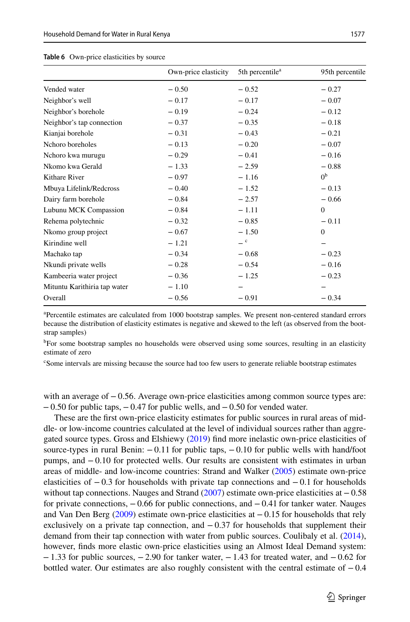|                              | Own-price elasticity | 5th percentile <sup>a</sup> | 95th percentile |
|------------------------------|----------------------|-----------------------------|-----------------|
| Vended water                 | $-0.50$              | $-0.52$                     | $-0.27$         |
| Neighbor's well              | $-0.17$              | $-0.17$                     | $-0.07$         |
| Neighbor's borehole          | $-0.19$              | $-0.24$                     | $-0.12$         |
| Neighbor's tap connection    | $-0.37$              | $-0.35$                     | $-0.18$         |
| Kianjai borehole             | $-0.31$              | $-0.43$                     | $-0.21$         |
| Nchoro boreholes             | $-0.13$              | $-0.20$                     | $-0.07$         |
| Nchoro kwa murugu            | $-0.29$              | $-0.41$                     | $-0.16$         |
| Nkomo kwa Gerald             | $-1.33$              | $-2.59$                     | $-0.88$         |
| Kithare River                | $-0.97$              | $-1.16$                     | 0 <sup>b</sup>  |
| Mbuya Lifelink/Redcross      | $-0.40$              | $-1.52$                     | $-0.13$         |
| Dairy farm borehole          | $-0.84$              | $-2.57$                     | $-0.66$         |
| Lubunu MCK Compassion        | $-0.84$              | $-1.11$                     | $\theta$        |
| Rehema polytechnic           | $-0.32$              | $-0.85$                     | $-0.11$         |
| Nkomo group project          | $-0.67$              | $-1.50$                     | $\theta$        |
| Kirindine well               | $-1.21$              | $-$ c                       |                 |
| Machako tap                  | $-0.34$              | $-0.68$                     | $-0.23$         |
| Nkundi private wells         | $-0.28$              | $-0.54$                     | $-0.16$         |
| Kambeeria water project      | $-0.36$              | $-1.25$                     | $-0.23$         |
| Mituntu Karithiria tap water | $-1.10$              |                             |                 |
| Overall                      | $-0.56$              | $-0.91$                     | $-0.34$         |

#### <span id="page-14-0"></span>**Table 6** Own-price elasticities by source

a Percentile estimates are calculated from 1000 bootstrap samples. We present non-centered standard errors because the distribution of elasticity estimates is negative and skewed to the left (as observed from the bootstrap samples)

<sup>b</sup>For some bootstrap samples no households were observed using some sources, resulting in an elasticity estimate of zero

c Some intervals are missing because the source had too few users to generate reliable bootstrap estimates

with an average of −0.56. Average own-price elasticities among common source types are: −0.50 for public taps, −0.47 for public wells, and −0.50 for vended water.

These are the frst own-price elasticity estimates for public sources in rural areas of middle- or low-income countries calculated at the level of individual sources rather than aggregated source types. Gross and Elshiewy [\(2019](#page-19-6)) fnd more inelastic own-price elasticities of source-types in rural Benin:  $-0.11$  for public taps,  $-0.10$  for public wells with hand/foot pumps, and −0.10 for protected wells. Our results are consistent with estimates in urban areas of middle- and low-income countries: Strand and Walker ([2005\)](#page-20-12) estimate own-price elasticities of  $-0.3$  for households with private tap connections and  $-0.1$  for households without tap connections. Nauges and Strand  $(2007)$  $(2007)$  estimate own-price elasticities at  $-0.58$ for private connections, −0.66 for public connections, and −0.41 for tanker water. Nauges and Van Den Berg ([2009\)](#page-20-8) estimate own-price elasticities at −0.15 for households that rely exclusively on a private tap connection, and  $-0.37$  for households that supplement their demand from their tap connection with water from public sources. Coulibaly et al. [\(2014](#page-19-5)), however, fnds more elastic own-price elasticities using an Almost Ideal Demand system:  $-1.33$  for public sources,  $-2.90$  for tanker water,  $-1.43$  for treated water, and  $-0.62$  for bottled water. Our estimates are also roughly consistent with the central estimate of  $-0.4$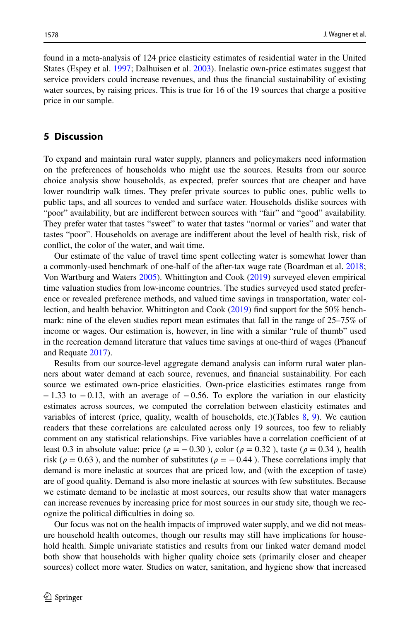found in a meta-analysis of 124 price elasticity estimates of residential water in the United States (Espey et al. [1997](#page-19-25); Dalhuisen et al. [2003](#page-19-10)). Inelastic own-price estimates suggest that service providers could increase revenues, and thus the fnancial sustainability of existing water sources, by raising prices. This is true for 16 of the 19 sources that charge a positive price in our sample.

#### **5 Discussion**

To expand and maintain rural water supply, planners and policymakers need information on the preferences of households who might use the sources. Results from our source choice analysis show households, as expected, prefer sources that are cheaper and have lower roundtrip walk times. They prefer private sources to public ones, public wells to public taps, and all sources to vended and surface water. Households dislike sources with "poor" availability, but are indiferent between sources with "fair" and "good" availability. They prefer water that tastes "sweet" to water that tastes "normal or varies" and water that tastes "poor". Households on average are indiferent about the level of health risk, risk of confict, the color of the water, and wait time.

Our estimate of the value of travel time spent collecting water is somewhat lower than a commonly-used benchmark of one-half of the after-tax wage rate (Boardman et al. [2018;](#page-19-26) Von Wartburg and Waters [2005](#page-20-26)). Whittington and Cook [\(2019](#page-20-14)) surveyed eleven empirical time valuation studies from low-income countries. The studies surveyed used stated preference or revealed preference methods, and valued time savings in transportation, water collection, and health behavior. Whittington and Cook [\(2019](#page-20-14)) fnd support for the 50% benchmark: nine of the eleven studies report mean estimates that fall in the range of 25–75% of income or wages. Our estimation is, however, in line with a similar "rule of thumb" used in the recreation demand literature that values time savings at one-third of wages (Phaneuf and Requate [2017](#page-20-27)).

Results from our source-level aggregate demand analysis can inform rural water planners about water demand at each source, revenues, and fnancial sustainability. For each source we estimated own-price elasticities. Own-price elasticities estimates range from −1.33 to −0.13, with an average of −0.56. To explore the variation in our elasticity estimates across sources, we computed the correlation between elasticity estimates and variables of interest (price, quality, wealth of households, etc.)(Tables [8,](#page-17-0) [9](#page-18-0)). We caution readers that these correlations are calculated across only 19 sources, too few to reliably comment on any statistical relationships. Five variables have a correlation coefficient of at least 0.3 in absolute value: price ( $\rho = -0.30$ ), color ( $\rho = 0.32$ ), taste ( $\rho = 0.34$ ), health risk ( $\rho = 0.63$ ), and the number of substitutes ( $\rho = -0.44$ ). These correlations imply that demand is more inelastic at sources that are priced low, and (with the exception of taste) are of good quality. Demand is also more inelastic at sources with few substitutes. Because we estimate demand to be inelastic at most sources, our results show that water managers can increase revenues by increasing price for most sources in our study site, though we recognize the political difficulties in doing so.

Our focus was not on the health impacts of improved water supply, and we did not measure household health outcomes, though our results may still have implications for household health. Simple univariate statistics and results from our linked water demand model both show that households with higher quality choice sets (primarily closer and cheaper sources) collect more water. Studies on water, sanitation, and hygiene show that increased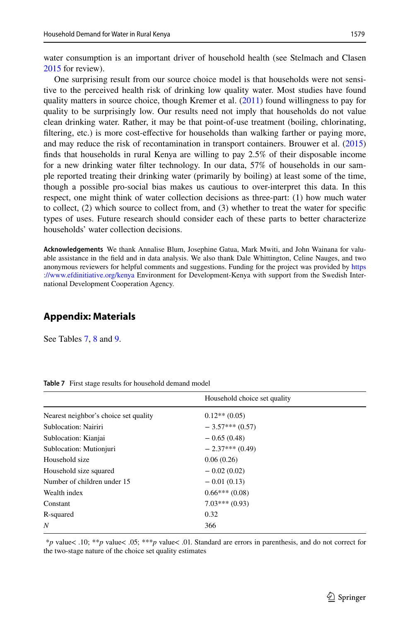water consumption is an important driver of household health (see Stelmach and Clasen [2015](#page-20-28) for review).

One surprising result from our source choice model is that households were not sensitive to the perceived health risk of drinking low quality water. Most studies have found quality matters in source choice, though Kremer et al. ([2011\)](#page-20-9) found willingness to pay for quality to be surprisingly low. Our results need not imply that households do not value clean drinking water. Rather, it may be that point-of-use treatment (boiling, chlorinating, fltering, etc.) is more cost-efective for households than walking farther or paying more, and may reduce the risk of recontamination in transport containers. Brouwer et al. [\(2015](#page-19-27)) fnds that households in rural Kenya are willing to pay 2.5% of their disposable income for a new drinking water flter technology. In our data, 57% of households in our sample reported treating their drinking water (primarily by boiling) at least some of the time, though a possible pro-social bias makes us cautious to over-interpret this data. In this respect, one might think of water collection decisions as three-part: (1) how much water to collect, (2) which source to collect from, and (3) whether to treat the water for specifc types of uses. Future research should consider each of these parts to better characterize households' water collection decisions.

**Acknowledgements** We thank Annalise Blum, Josephine Gatua, Mark Mwiti, and John Wainana for valuable assistance in the feld and in data analysis. We also thank Dale Whittington, Celine Nauges, and two anonymous reviewers for helpful comments and suggestions. Funding for the project was provided by [https](https://www.efdinitiative.org/kenya) [://www.efdinitiative.org/kenya](https://www.efdinitiative.org/kenya) Environment for Development-Kenya with support from the Swedish International Development Cooperation Agency.

### **Appendix: Materials**

See Tables [7,](#page-16-0) [8](#page-17-0) and [9.](#page-18-0)

| Household choice set quality |
|------------------------------|
| $0.12**$ (0.05)              |
| $-3.57***(0.57)$             |
| $-0.65(0.48)$                |
| $-2.37***(0.49)$             |
| 0.06(0.26)                   |
| $-0.02(0.02)$                |
| $-0.01(0.13)$                |
| $0.66***(0.08)$              |
| $7.03***(0.93)$              |
| 0.32                         |
| 366                          |
|                              |

<span id="page-16-0"></span>**Table 7** First stage results for household demand model

 \**p* value*<* .10; \*\**p* value*<* .05; \*\*\**p* value*<* .01. Standard are errors in parenthesis, and do not correct for the two-stage nature of the choice set quality estimates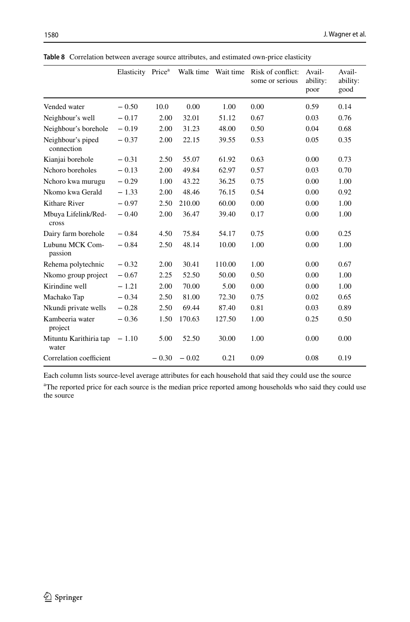|                                 | Elasticity Price <sup>a</sup> |         | Walk time Wait time |        | Risk of conflict:<br>some or serious | Avail-<br>ability:<br>poor | Avail-<br>ability:<br>good |
|---------------------------------|-------------------------------|---------|---------------------|--------|--------------------------------------|----------------------------|----------------------------|
| Vended water                    | $-0.50$                       | 10.0    | 0.00                | 1.00   | 0.00                                 | 0.59                       | 0.14                       |
| Neighbour's well                | $-0.17$                       | 2.00    | 32.01               | 51.12  | 0.67                                 | 0.03                       | 0.76                       |
| Neighbour's borehole            | $-0.19$                       | 2.00    | 31.23               | 48.00  | 0.50                                 | 0.04                       | 0.68                       |
| Neighbour's piped<br>connection | $-0.37$                       | 2.00    | 22.15               | 39.55  | 0.53                                 | 0.05                       | 0.35                       |
| Kianjai borehole                | $-0.31$                       | 2.50    | 55.07               | 61.92  | 0.63                                 | 0.00                       | 0.73                       |
| Nchoro boreholes                | $-0.13$                       | 2.00    | 49.84               | 62.97  | 0.57                                 | 0.03                       | 0.70                       |
| Nchoro kwa murugu               | $-0.29$                       | 1.00    | 43.22               | 36.25  | 0.75                                 | 0.00                       | 1.00                       |
| Nkomo kwa Gerald                | $-1.33$                       | 2.00    | 48.46               | 76.15  | 0.54                                 | 0.00                       | 0.92                       |
| Kithare River                   | $-0.97$                       | 2.50    | 210.00              | 60.00  | 0.00                                 | 0.00                       | 1.00                       |
| Mbuya Lifelink/Red-<br>cross    | $-0.40$                       | 2.00    | 36.47               | 39.40  | 0.17                                 | 0.00                       | 1.00                       |
| Dairy farm borehole             | $-0.84$                       | 4.50    | 75.84               | 54.17  | 0.75                                 | 0.00                       | 0.25                       |
| Lubunu MCK Com-<br>passion      | $-0.84$                       | 2.50    | 48.14               | 10.00  | 1.00                                 | 0.00                       | 1.00                       |
| Rehema polytechnic              | $-0.32$                       | 2.00    | 30.41               | 110.00 | 1.00                                 | 0.00                       | 0.67                       |
| Nkomo group project             | $-0.67$                       | 2.25    | 52.50               | 50.00  | 0.50                                 | 0.00                       | 1.00                       |
| Kirindine well                  | $-1.21$                       | 2.00    | 70.00               | 5.00   | 0.00                                 | 0.00                       | 1.00                       |
| Machako Tap                     | $-0.34$                       | 2.50    | 81.00               | 72.30  | 0.75                                 | 0.02                       | 0.65                       |
| Nkundi private wells            | $-0.28$                       | 2.50    | 69.44               | 87.40  | 0.81                                 | 0.03                       | 0.89                       |
| Kambeeria water<br>project      | $-0.36$                       | 1.50    | 170.63              | 127.50 | 1.00                                 | 0.25                       | 0.50                       |
| Mituntu Karithiria tap<br>water | $-1.10$                       | 5.00    | 52.50               | 30.00  | 1.00                                 | 0.00                       | 0.00                       |
| Correlation coefficient         |                               | $-0.30$ | $-0.02$             | 0.21   | 0.09                                 | 0.08                       | 0.19                       |

<span id="page-17-0"></span>**Table 8** Correlation between average source attributes, and estimated own-price elasticity

Each column lists source-level average attributes for each household that said they could use the source

<sup>a</sup>The reported price for each source is the median price reported among households who said they could use the source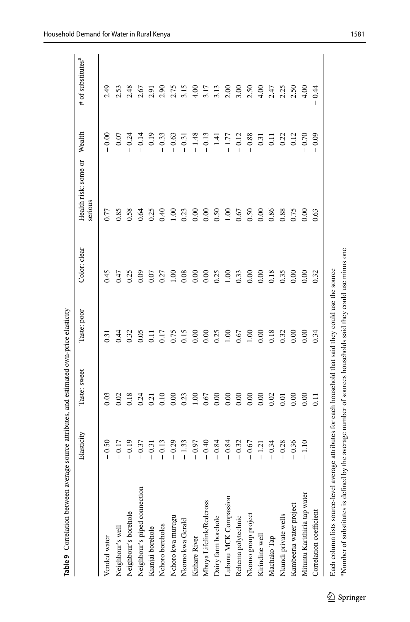|                                                                          | Elasticity | Taste: sweet   | Taste: poor     | Color: clear      | Health risk: some or<br>serious | Wealth         | # of substitutes <sup>a</sup> |
|--------------------------------------------------------------------------|------------|----------------|-----------------|-------------------|---------------------------------|----------------|-------------------------------|
| Vended water                                                             | $-0.50$    | 0.03           | 0.31            | 0.45              | 0.77                            | 0.00           | 2.49                          |
|                                                                          | $-0.17$    | 0.02           | 0.44            | 0.47              | 0.85                            | 0.07           | 2.53                          |
| Neighbour's well<br>Neighbour's borehole<br>Neighbour's piped connection | $-0.19$    | 0.18           | 0.32            | 0.25              | 0.58                            | $-0.24$        | 2.48                          |
|                                                                          | $-0.37$    | 0.24           | 0.05            | 0.09              | 0.64                            | $-0.14$        | 2.67                          |
| Kianjai borehole                                                         | $-0.31$    | 0.21           | $\overline{11}$ | 0.07              | 0.25                            | 0.19           | 2.91                          |
| Nchoro boreholes                                                         | $-0.13$    | 0.10           | 0.17            | 0.27              | 0.40                            | $-0.33$        | 2.90                          |
| Nchoro kwa murugu                                                        | $-0.29$    | 0.00           | 0.75            | 00.1              | $\frac{8}{100}$                 | $-0.63$        | 2.75                          |
| Nkomo kwa Gerald                                                         | $-1.33$    | 0.23           | 0.15            | 0.08              | 0.23                            | $-0.31$        | 3.15                          |
| Kithare River                                                            | $-0.97$    | 1.00           | 0.00            | 0.00              | 0.00                            | $-1.48$        | 4.00                          |
| Mbuya Lifelink/Redcross                                                  | $-0.40$    | 0.67           | 0.00            | 0.00              | 0.00                            | $-0.13$        | 3.17                          |
| Dairy farm borehole                                                      | $-0.84$    | 0.00           | 0.25            | 0.25              | 0.50                            | 1.41           | 3.13                          |
| Lubunu MCK Compassion                                                    | $-0.84$    | 0.00           | 1.00            | $\overline{1.00}$ | $\frac{8}{100}$                 | $-1.77$        | 2.00                          |
| Rehema polytechnic                                                       | $-0.32$    | 0.00           | 0.67            | 0.33              | 0.67                            | $-0.12$        | 3.00                          |
| Nkomo group project                                                      | $-0.67$    | 0.00           | 1.00            | 0.00              | 0.50                            | $-0.88$        | 2.50                          |
| Kirindine well                                                           | $-1.21$    | 0.00           | 0.00            | 0.00              | 0.00                            | 0.31           | $^{4.00}$                     |
| Machako Tap                                                              | $-0.34$    | 0.02           | 0.18            | 0.18              | 0.86                            | $\overline{1}$ | 2.47                          |
| Nkundi private wells                                                     | $-0.28$    | 0.01           | 0.32            | 0.35              | 0.88                            | 0.22           | 2.25                          |
| Kambeeria water project                                                  | $-0.36$    | 0.00           | 0.00            | 0.00              | 0.75                            | 0.12           | 2.50                          |
| Mituntu Karithiria tap water                                             | $-1.10$    | 0.00           | 0.00            | 0.00              | $_{0.00}$                       | 0.70           | 4.00                          |
| Correlation coefficient                                                  |            | $\overline{1}$ | 0.34            | 0.32              | 0.63                            | 0.09           | 0.44                          |

aNumber of substitutes is defned by the average number of sources households said they could use minus one

<span id="page-18-0"></span><sup>a</sup>Number of substitutes is defined by the average number of sources households said they could use minus one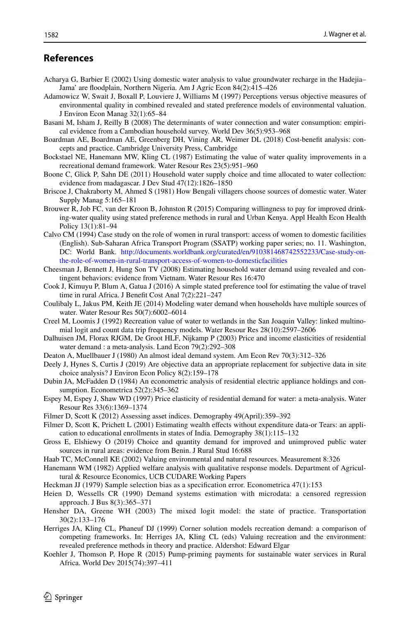### **References**

- <span id="page-19-7"></span>Acharya G, Barbier E (2002) Using domestic water analysis to value groundwater recharge in the Hadejia– Jama' are foodplain, Northern Nigeria. Am J Agric Econ 84(2):415–426
- <span id="page-19-11"></span>Adamowicz W, Swait J, Boxall P, Louviere J, Williams M (1997) Perceptions versus objective measures of environmental quality in combined revealed and stated preference models of environmental valuation. J Environ Econ Manag 32(1):65–84
- <span id="page-19-2"></span>Basani M, Isham J, Reilly B (2008) The determinants of water connection and water consumption: empirical evidence from a Cambodian household survey. World Dev 36(5):953–968
- <span id="page-19-26"></span>Boardman AE, Boardman AE, Greenberg DH, Vining AR, Weimer DL (2018) Cost-beneft analysis: concepts and practice. Cambridge University Press, Cambridge
- <span id="page-19-8"></span>Bockstael NE, Hanemann MW, Kling CL (1987) Estimating the value of water quality improvements in a recreational demand framework. Water Resour Res 23(5):951–960
- <span id="page-19-4"></span>Boone C, Glick P, Sahn DE (2011) Household water supply choice and time allocated to water collection: evidence from madagascar. J Dev Stud 47(12):1826–1850
- <span id="page-19-1"></span>Briscoe J, Chakraborty M, Ahmed S (1981) How Bengali villagers choose sources of domestic water. Water Supply Manag 5:165–181
- <span id="page-19-27"></span>Brouwer R, Job FC, van der Kroon B, Johnston R (2015) Comparing willingness to pay for improved drinking-water quality using stated preference methods in rural and Urban Kenya. Appl Health Econ Health Policy 13(1):81–94
- <span id="page-19-13"></span>Calvo CM (1994) Case study on the role of women in rural transport: access of women to domestic facilities (English). Sub-Saharan Africa Transport Program (SSATP) working paper series; no. 11. Washington, DC: World Bank. [http://documents.worldbank.org/curated/en/910381468742552233/Case-study-on](http://documents.worldbank.org/curated/en/910381468742552233/Case-study-on-the-role-of-women-in-rural-transport-access-of-women-to-domesticfacilities)[the-role-of-women-in-rural-transport-access-of-women-to-domesticfacilities](http://documents.worldbank.org/curated/en/910381468742552233/Case-study-on-the-role-of-women-in-rural-transport-access-of-women-to-domesticfacilities)
- <span id="page-19-3"></span>Cheesman J, Bennett J, Hung Son TV (2008) Estimating household water demand using revealed and contingent behaviors: evidence from Vietnam. Water Resour Res 16:470
- <span id="page-19-20"></span>Cook J, Kimuyu P, Blum A, Gatua J (2016) A simple stated preference tool for estimating the value of travel time in rural Africa. J Beneft Cost Anal 7(2):221–247
- <span id="page-19-5"></span>Coulibaly L, Jakus PM, Keith JE (2014) Modeling water demand when households have multiple sources of water. Water Resour Res 50(7):6002–6014
- <span id="page-19-9"></span>Creel M, Loomis J (1992) Recreation value of water to wetlands in the San Joaquin Valley: linked multinomial logit and count data trip frequency models. Water Resour Res 28(10):2597–2606
- <span id="page-19-10"></span>Dalhuisen JM, Florax RJGM, De Groot HLF, Nijkamp P (2003) Price and income elasticities of residential water demand : a meta-analysis. Land Econ 79(2):292–308
- <span id="page-19-15"></span>Deaton A, Muellbauer J (1980) An almost ideal demand system. Am Econ Rev 70(3):312–326
- <span id="page-19-12"></span>Deely J, Hynes S, Curtis J (2019) Are objective data an appropriate replacement for subjective data in site choice analysis? J Environ Econ Policy 8(2):159–178
- <span id="page-19-17"></span>Dubin JA, McFadden D (1984) An econometric analysis of residential electric appliance holdings and consumption. Econometrica 52(2):345–362
- <span id="page-19-25"></span>Espey M, Espey J, Shaw WD (1997) Price elasticity of residential demand for water: a meta-analysis. Water Resour Res 33(6):1369–1374
- <span id="page-19-24"></span>Filmer D, Scott K (2012) Assessing asset indices. Demography 49(April):359–392
- <span id="page-19-23"></span>Filmer D, Scott K, Prichett L (2001) Estimating wealth effects without expenditure data-or Tears: an application to educational enrollments in states of India. Demography 38(1):115–132
- <span id="page-19-6"></span>Gross E, Elshiewy O (2019) Choice and quantity demand for improved and unimproved public water sources in rural areas: evidence from Benin. J Rural Stud 16:688
- <span id="page-19-18"></span>Haab TC, McConnell KE (2002) Valuing environmental and natural resources. Measurement 8:326
- <span id="page-19-22"></span>Hanemann WM (1982) Applied welfare analysis with qualitative response models. Department of Agricultural & Resource Economics, UCB CUDARE Working Papers
- <span id="page-19-14"></span>Heckman JJ (1979) Sample selection bias as a specifcation error. Econometrica 47(1):153
- <span id="page-19-16"></span>Heien D, Wessells CR (1990) Demand systems estimation with microdata: a censored regression approach. J Bus 8(3):365–371
- <span id="page-19-19"></span>Hensher DA, Greene WH (2003) The mixed logit model: the state of practice. Transportation 30(2):133–176
- <span id="page-19-21"></span>Herriges JA, Kling CL, Phaneuf DJ (1999) Corner solution models recreation demand: a comparison of competing frameworks. In: Herriges JA, Kling CL (eds) Valuing recreation and the environment: revealed preference methods in theory and practice. Aldershot: Edward Elgar
- <span id="page-19-0"></span>Koehler J, Thomson P, Hope R (2015) Pump-priming payments for sustainable water services in Rural Africa. World Dev 2015(74):397–411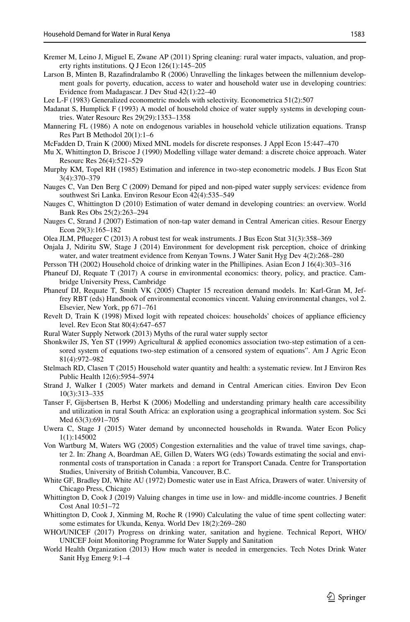- <span id="page-20-9"></span>Kremer M, Leino J, Miguel E, Zwane AP (2011) Spring cleaning: rural water impacts, valuation, and property rights institutions. Q J Econ 126(1):145–205
- <span id="page-20-6"></span>Larson B, Minten B, Razafndralambo R (2006) Unravelling the linkages between the millennium development goals for poverty, education, access to water and household water use in developing countries: Evidence from Madagascar. J Dev Stud 42(1):22–40
- <span id="page-20-18"></span>Lee L-F (1983) Generalized econometric models with selectivity. Econometrica 51(2):507
- <span id="page-20-4"></span>Madanat S, Humplick F (1993) A model of household choice of water supply systems in developing countries. Water Resourc Res 29(29):1353–1358
- <span id="page-20-19"></span>Mannering FL (1986) A note on endogenous variables in household vehicle utilization equations. Transp Res Part B Methodol 20(1):1–6
- <span id="page-20-21"></span>McFadden D, Train K (2000) Mixed MNL models for discrete responses. J Appl Econ 15:447–470
- <span id="page-20-3"></span>Mu X, Whittington D, Briscoe J (1990) Modelling village water demand: a discrete choice approach. Water Resourc Res 26(4):521–529
- <span id="page-20-25"></span>Murphy KM, Topel RH (1985) Estimation and inference in two-step econometric models. J Bus Econ Stat 3(4):370–379
- <span id="page-20-8"></span>Nauges C, Van Den Berg C (2009) Demand for piped and non-piped water supply services: evidence from southwest Sri Lanka. Environ Resour Econ 42(4):535–549
- <span id="page-20-13"></span>Nauges C, Whittington D (2010) Estimation of water demand in developing countries: an overview. World Bank Res Obs 25(2):263–294
- <span id="page-20-7"></span>Nauges C, Strand J (2007) Estimation of non-tap water demand in Central American cities. Resour Energy Econ 29(3):165–182
- <span id="page-20-23"></span>Olea JLM, Pfueger C (2013) A robust test for weak instruments. J Bus Econ Stat 31(3):358–369
- <span id="page-20-10"></span>Onjala J, Ndiritu SW, Stage J (2014) Environment for development risk perception, choice of drinking water, and water treatment evidence from Kenyan Towns. J Water Sanit Hyg Dev 4(2):268–280
- <span id="page-20-5"></span>Persson TH (2002) Household choice of drinking water in the Phillipines. Asian Econ J 16(4):303–316
- <span id="page-20-27"></span>Phaneuf DJ, Requate T (2017) A course in environmental economics: theory, policy, and practice. Cambridge University Press, Cambridge
- <span id="page-20-22"></span>Phaneuf DJ, Requate T, Smith VK (2005) Chapter 15 recreation demand models. In: Karl-Gran M, Jeffrey RBT (eds) Handbook of environmental economics vincent. Valuing environmental changes, vol 2. Elsevier, New York, pp 671–761
- <span id="page-20-20"></span>Revelt D, Train K (1998) Mixed logit with repeated choices: households' choices of appliance efficiency level. Rev Econ Stat 80(4):647–657
- <span id="page-20-1"></span>Rural Water Supply Network (2013) Myths of the rural water supply sector
- <span id="page-20-17"></span>Shonkwiler JS, Yen ST (1999) Agricultural & applied economics association two-step estimation of a censored system of equations two-step estimation of a censored system of equations". Am J Agric Econ 81(4):972–982
- <span id="page-20-28"></span>Stelmach RD, Clasen T (2015) Household water quantity and health: a systematic review. Int J Environ Res Public Health 12(6):5954–5974
- <span id="page-20-12"></span>Strand J, Walker I (2005) Water markets and demand in Central American cities. Environ Dev Econ 10(3):313–335
- <span id="page-20-16"></span>Tanser F, Gijsbertsen B, Herbst K (2006) Modelling and understanding primary health care accessibility and utilization in rural South Africa: an exploration using a geographical information system. Soc Sci Med 63(3):691–705
- <span id="page-20-11"></span>Uwera C, Stage J (2015) Water demand by unconnected households in Rwanda. Water Econ Policy 1(1):145002
- <span id="page-20-26"></span>Von Wartburg M, Waters WG (2005) Congestion externalities and the value of travel time savings, chapter 2. In: Zhang A, Boardman AE, Gillen D, Waters WG (eds) Towards estimating the social and environmental costs of transportation in Canada : a report for Transport Canada. Centre for Transportation Studies, University of British Columbia, Vancouver, B.C.
- <span id="page-20-15"></span>White GF, Bradley DJ, White AU (1972) Domestic water use in East Africa, Drawers of water. University of Chicago Press, Chicago
- <span id="page-20-14"></span>Whittington D, Cook J (2019) Valuing changes in time use in low- and middle-income countries. J Beneft Cost Anal 10:51–72
- <span id="page-20-2"></span>Whittington D, Cook J, Xinming M, Roche R (1990) Calculating the value of time spent collecting water: some estimates for Ukunda, Kenya. World Dev 18(2):269–280
- <span id="page-20-0"></span>WHO/UNICEF (2017) Progress on drinking water, sanitation and hygiene. Technical Report, WHO/ UNICEF Joint Monitoring Programme for Water Supply and Sanitation
- <span id="page-20-24"></span>World Health Organization (2013) How much water is needed in emergencies. Tech Notes Drink Water Sanit Hyg Emerg 9:1–4